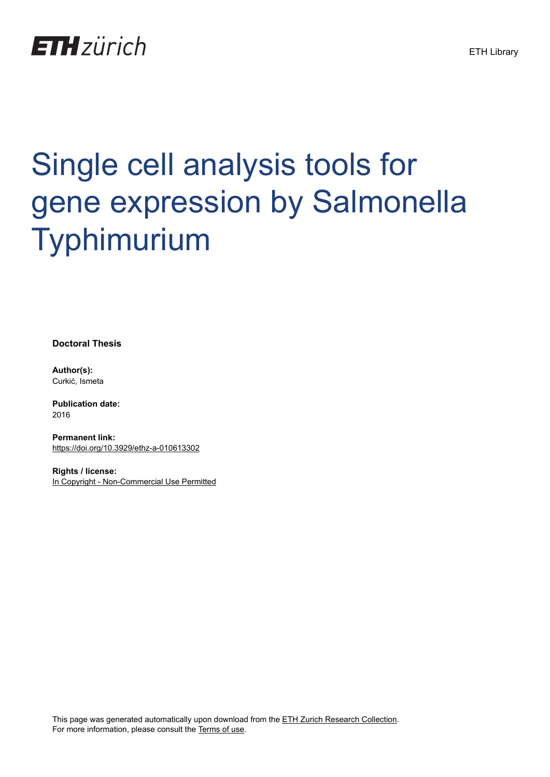## **ETH**zürich

# Single cell analysis tools for gene expression by Salmonella Typhimurium

**Doctoral Thesis**

**Author(s):** Curkić, Ismeta

**Publication date:** 2016

**Permanent link:** <https://doi.org/10.3929/ethz-a-010613302>

**Rights / license:** [In Copyright - Non-Commercial Use Permitted](http://rightsstatements.org/page/InC-NC/1.0/)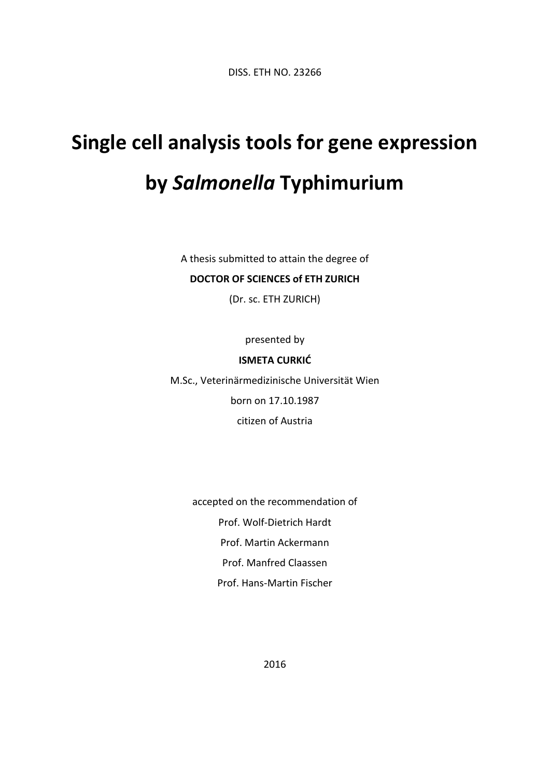DISS. ETH NO. 23266

## **Single cell analysis tools for gene expression by** *Salmonella* **Typhimurium**

A thesis submitted to attain the degree of

#### **DOCTOR OF SCIENCES of ETH ZURICH**

(Dr. sc. ETH ZURICH)

presented by

#### **ISMETA CURKIĆ**

M.Sc., Veterinärmedizinische Universität Wien born on 17.10.1987 citizen of Austria

> accepted on the recommendation of Prof. Wolf-Dietrich Hardt Prof. Martin Ackermann Prof. Manfred Claassen Prof. Hans-Martin Fischer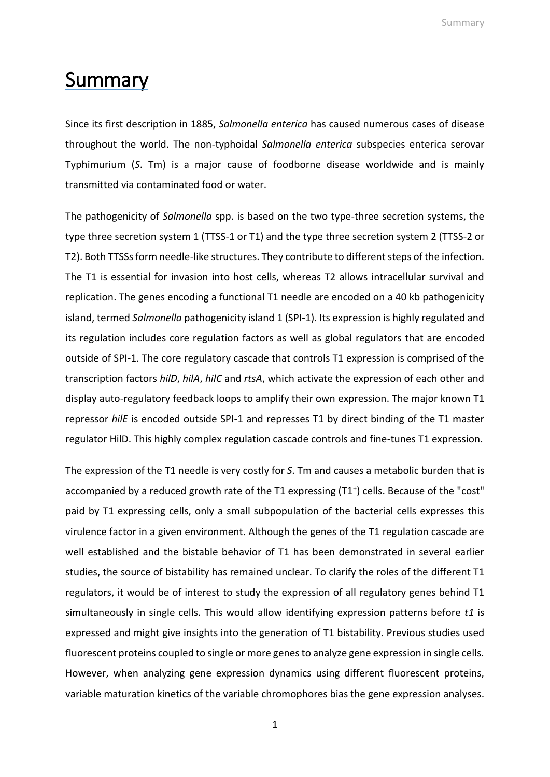Summary

### Summary

Since its first description in 1885, *Salmonella enterica* has caused numerous cases of disease throughout the world. The non-typhoidal *Salmonella enterica* subspecies enterica serovar Typhimurium (*S*. Tm) is a major cause of foodborne disease worldwide and is mainly transmitted via contaminated food or water.

The pathogenicity of *Salmonella* spp. is based on the two type-three secretion systems, the type three secretion system 1 (TTSS-1 or T1) and the type three secretion system 2 (TTSS-2 or T2). Both TTSSs form needle-like structures. They contribute to different steps of the infection. The T1 is essential for invasion into host cells, whereas T2 allows intracellular survival and replication. The genes encoding a functional T1 needle are encoded on a 40 kb pathogenicity island, termed *Salmonella* pathogenicity island 1 (SPI-1). Its expression is highly regulated and its regulation includes core regulation factors as well as global regulators that are encoded outside of SPI-1. The core regulatory cascade that controls T1 expression is comprised of the transcription factors *hilD*, *hilA*, *hilC* and *rtsA*, which activate the expression of each other and display auto-regulatory feedback loops to amplify their own expression. The major known T1 repressor *hilE* is encoded outside SPI-1 and represses T1 by direct binding of the T1 master regulator HilD. This highly complex regulation cascade controls and fine-tunes T1 expression.

The expression of the T1 needle is very costly for *S*. Tm and causes a metabolic burden that is accompanied by a reduced growth rate of the T1 expressing (T1<sup>+</sup>) cells. Because of the "cost" paid by T1 expressing cells, only a small subpopulation of the bacterial cells expresses this virulence factor in a given environment. Although the genes of the T1 regulation cascade are well established and the bistable behavior of T1 has been demonstrated in several earlier studies, the source of bistability has remained unclear. To clarify the roles of the different T1 regulators, it would be of interest to study the expression of all regulatory genes behind T1 simultaneously in single cells. This would allow identifying expression patterns before *t1* is expressed and might give insights into the generation of T1 bistability. Previous studies used fluorescent proteins coupled to single or more genes to analyze gene expression in single cells. However, when analyzing gene expression dynamics using different fluorescent proteins, variable maturation kinetics of the variable chromophores bias the gene expression analyses.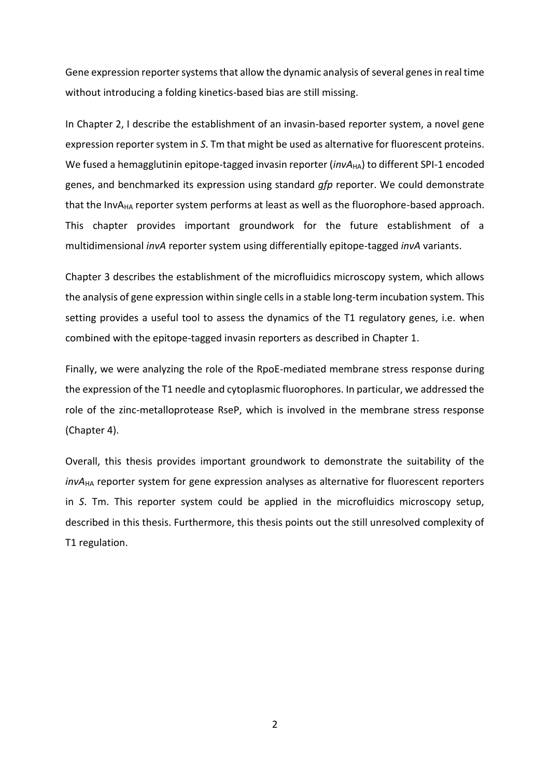Gene expression reporter systems that allow the dynamic analysis of several genes in real time without introducing a folding kinetics-based bias are still missing.

In Chapter 2, I describe the establishment of an invasin-based reporter system, a novel gene expression reporter system in *S*. Tm that might be used as alternative for fluorescent proteins. We fused a hemagglutinin epitope-tagged invasin reporter (*invA*<sub>HA</sub>) to different SPI-1 encoded genes, and benchmarked its expression using standard *gfp* reporter. We could demonstrate that the InvA<sub>HA</sub> reporter system performs at least as well as the fluorophore-based approach. This chapter provides important groundwork for the future establishment of a multidimensional *invA* reporter system using differentially epitope-tagged *invA* variants.

Chapter 3 describes the establishment of the microfluidics microscopy system, which allows the analysis of gene expression within single cells in a stable long-term incubation system. This setting provides a useful tool to assess the dynamics of the T1 regulatory genes, i.e. when combined with the epitope-tagged invasin reporters as described in Chapter 1.

Finally, we were analyzing the role of the RpoE-mediated membrane stress response during the expression of the T1 needle and cytoplasmic fluorophores. In particular, we addressed the role of the zinc-metalloprotease RseP, which is involved in the membrane stress response (Chapter 4).

Overall, this thesis provides important groundwork to demonstrate the suitability of the *invA*HA reporter system for gene expression analyses as alternative for fluorescent reporters in *S*. Tm. This reporter system could be applied in the microfluidics microscopy setup, described in this thesis. Furthermore, this thesis points out the still unresolved complexity of T1 regulation.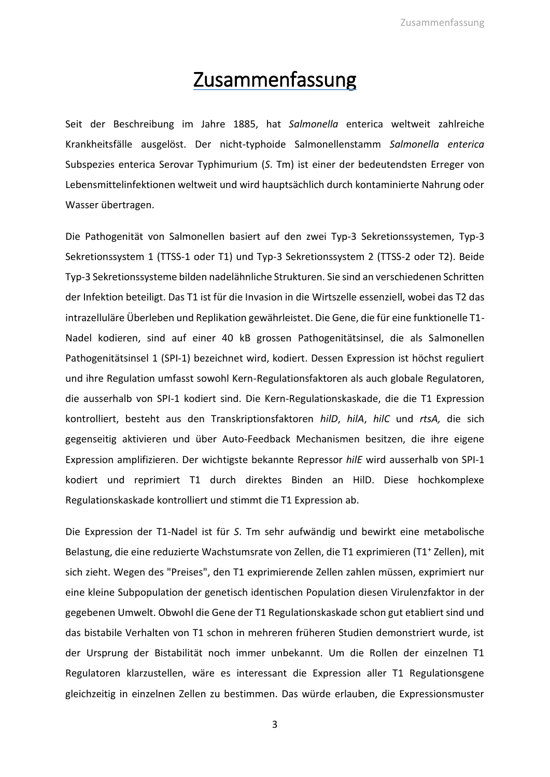### Zusammenfassung

Seit der Beschreibung im Jahre 1885, hat *Salmonella* enterica weltweit zahlreiche Krankheitsfälle ausgelöst. Der nicht-typhoide Salmonellenstamm *Salmonella enterica* Subspezies enterica Serovar Typhimurium (*S*. Tm) ist einer der bedeutendsten Erreger von Lebensmittelinfektionen weltweit und wird hauptsächlich durch kontaminierte Nahrung oder Wasser übertragen.

Die Pathogenität von Salmonellen basiert auf den zwei Typ-3 Sekretionssystemen, Typ-3 Sekretionssystem 1 (TTSS-1 oder T1) und Typ-3 Sekretionssystem 2 (TTSS-2 oder T2). Beide Typ-3 Sekretionssysteme bilden nadelähnliche Strukturen. Sie sind an verschiedenen Schritten der Infektion beteiligt. Das T1 ist für die Invasion in die Wirtszelle essenziell, wobei das T2 das intrazelluläre Überleben und Replikation gewährleistet. Die Gene, die für eine funktionelle T1- Nadel kodieren, sind auf einer 40 kB grossen Pathogenitätsinsel, die als Salmonellen Pathogenitätsinsel 1 (SPI-1) bezeichnet wird, kodiert. Dessen Expression ist höchst reguliert und ihre Regulation umfasst sowohl Kern-Regulationsfaktoren als auch globale Regulatoren, die ausserhalb von SPI-1 kodiert sind. Die Kern-Regulationskaskade, die die T1 Expression kontrolliert, besteht aus den Transkriptionsfaktoren *hilD*, *hilA*, *hilC* und *rtsA,* die sich gegenseitig aktivieren und über Auto-Feedback Mechanismen besitzen, die ihre eigene Expression amplifizieren. Der wichtigste bekannte Repressor *hilE* wird ausserhalb von SPI-1 kodiert und reprimiert T1 durch direktes Binden an HilD. Diese hochkomplexe Regulationskaskade kontrolliert und stimmt die T1 Expression ab.

Die Expression der T1-Nadel ist für *S*. Tm sehr aufwändig und bewirkt eine metabolische Belastung, die eine reduzierte Wachstumsrate von Zellen, die T1 exprimieren (T1<sup>+</sup> Zellen), mit sich zieht. Wegen des "Preises", den T1 exprimierende Zellen zahlen müssen, exprimiert nur eine kleine Subpopulation der genetisch identischen Population diesen Virulenzfaktor in der gegebenen Umwelt. Obwohl die Gene der T1 Regulationskaskade schon gut etabliert sind und das bistabile Verhalten von T1 schon in mehreren früheren Studien demonstriert wurde, ist der Ursprung der Bistabilität noch immer unbekannt. Um die Rollen der einzelnen T1 Regulatoren klarzustellen, wäre es interessant die Expression aller T1 Regulationsgene gleichzeitig in einzelnen Zellen zu bestimmen. Das würde erlauben, die Expressionsmuster